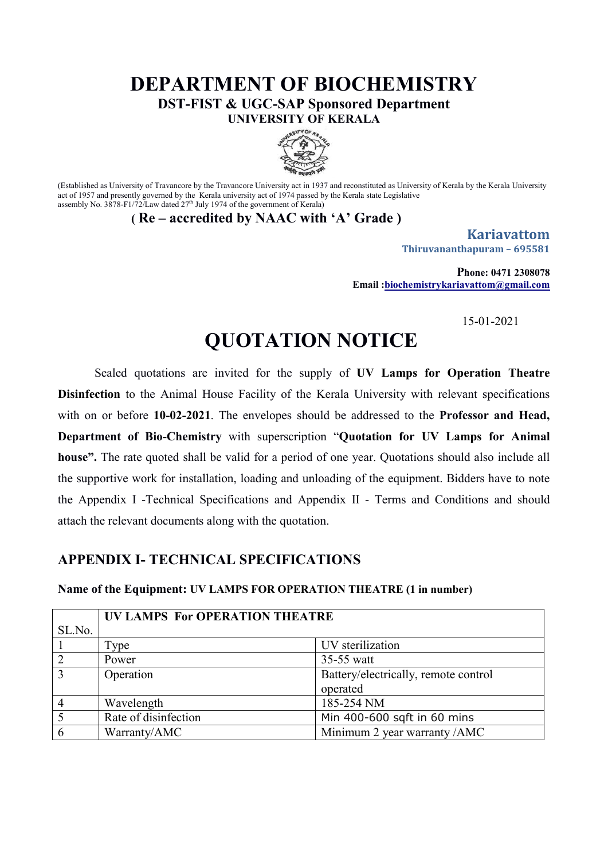## **DEPARTMENT OF BIOCHEMISTRY DST-FIST & UGC-SAP Sponsored Department**

**UNIVERSITY OF KERALA**



(Established as University of Travancore by the Travancore University act in 1937 and reconstituted as University of Kerala by the Kerala University act of 1957 and presently governed by the Kerala university act of 1974 passed by the Kerala state Legislative assembly No. 3878-F1/72/Law dated  $27<sup>th</sup>$  July 1974 of the government of Kerala)

**( Re – accredited by NAAC with 'A' Grade )**

**Kariavattom Thiruvananthapuram – 695581**

**Phone: 0471 2308078 Email :biochemistrykariavattom@gmail.com**

15-01-2021

# **QUOTATION NOTICE**

Sealed quotations are invited for the supply of **UV Lamps for Operation Theatre Disinfection** to the Animal House Facility of the Kerala University with relevant specifications with on or before **10-02-2021**. The envelopes should be addressed to the **Professor and Head, Department of Bio-Chemistry** with superscription "**Quotation for UV Lamps for Animal house".** The rate quoted shall be valid for a period of one year. Quotations should also include all the supportive work for installation, loading and unloading of the equipment. Bidders have to note the Appendix I -Technical Specifications and Appendix II - Terms and Conditions and should attach the relevant documents along with the quotation.

#### **APPENDIX I- TECHNICAL SPECIFICATIONS**

#### **Name of the Equipment: UV LAMPS FOR OPERATION THEATRE (1 in number)**

|        | UV LAMPS For OPERATION THEATRE |                                      |
|--------|--------------------------------|--------------------------------------|
| SL.No. |                                |                                      |
|        | Type                           | UV sterilization                     |
|        | Power                          | 35-55 watt                           |
| 3      | Operation                      | Battery/electrically, remote control |
|        |                                | operated                             |
|        | Wavelength                     | 185-254 NM                           |
|        | Rate of disinfection           | Min 400-600 sqft in 60 mins          |
| 6      | Warranty/AMC                   | Minimum 2 year warranty /AMC         |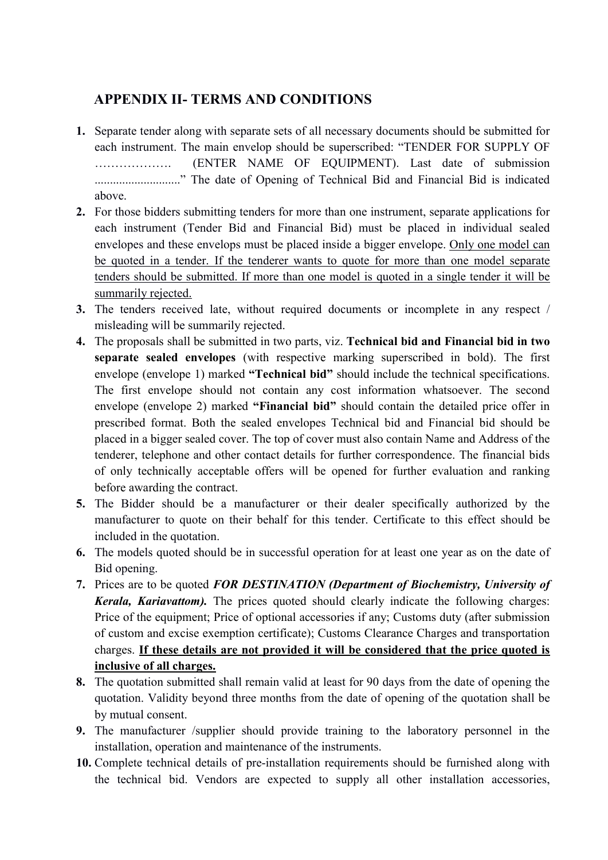### **APPENDIX II- TERMS AND CONDITIONS**

- **1.** Separate tender along with separate sets of all necessary documents should be submitted for each instrument. The main envelop should be superscribed: "TENDER FOR SUPPLY OF ………………. (ENTER NAME OF EQUIPMENT). Last date of submission ............................" The date of Opening of Technical Bid and Financial Bid is indicated above.
- **2.** For those bidders submitting tenders for more than one instrument, separate applications for each instrument (Tender Bid and Financial Bid) must be placed in individual sealed envelopes and these envelops must be placed inside a bigger envelope. Only one model can be quoted in a tender. If the tenderer wants to quote for more than one model separate tenders should be submitted. If more than one model is quoted in a single tender it will be summarily rejected.
- **3.** The tenders received late, without required documents or incomplete in any respect / misleading will be summarily rejected.
- **4.** The proposals shall be submitted in two parts, viz. **Technical bid and Financial bid in two separate sealed envelopes** (with respective marking superscribed in bold). The first envelope (envelope 1) marked **"Technical bid"** should include the technical specifications. The first envelope should not contain any cost information whatsoever. The second envelope (envelope 2) marked **"Financial bid"** should contain the detailed price offer in prescribed format. Both the sealed envelopes Technical bid and Financial bid should be placed in a bigger sealed cover. The top of cover must also contain Name and Address of the tenderer, telephone and other contact details for further correspondence. The financial bids of only technically acceptable offers will be opened for further evaluation and ranking before awarding the contract.
- **5.** The Bidder should be a manufacturer or their dealer specifically authorized by the manufacturer to quote on their behalf for this tender. Certificate to this effect should be included in the quotation.
- **6.** The models quoted should be in successful operation for at least one year as on the date of Bid opening.
- **7.** Prices are to be quoted *FOR DESTINATION (Department of Biochemistry, University of Kerala, Kariavattom).* The prices quoted should clearly indicate the following charges: Price of the equipment; Price of optional accessories if any; Customs duty (after submission of custom and excise exemption certificate); Customs Clearance Charges and transportation charges. **If these details are not provided it will be considered that the price quoted is inclusive of all charges.**
- **8.** The quotation submitted shall remain valid at least for 90 days from the date of opening the quotation. Validity beyond three months from the date of opening of the quotation shall be by mutual consent.
- **9.** The manufacturer /supplier should provide training to the laboratory personnel in the installation, operation and maintenance of the instruments.
- **10.** Complete technical details of pre-installation requirements should be furnished along with the technical bid. Vendors are expected to supply all other installation accessories,